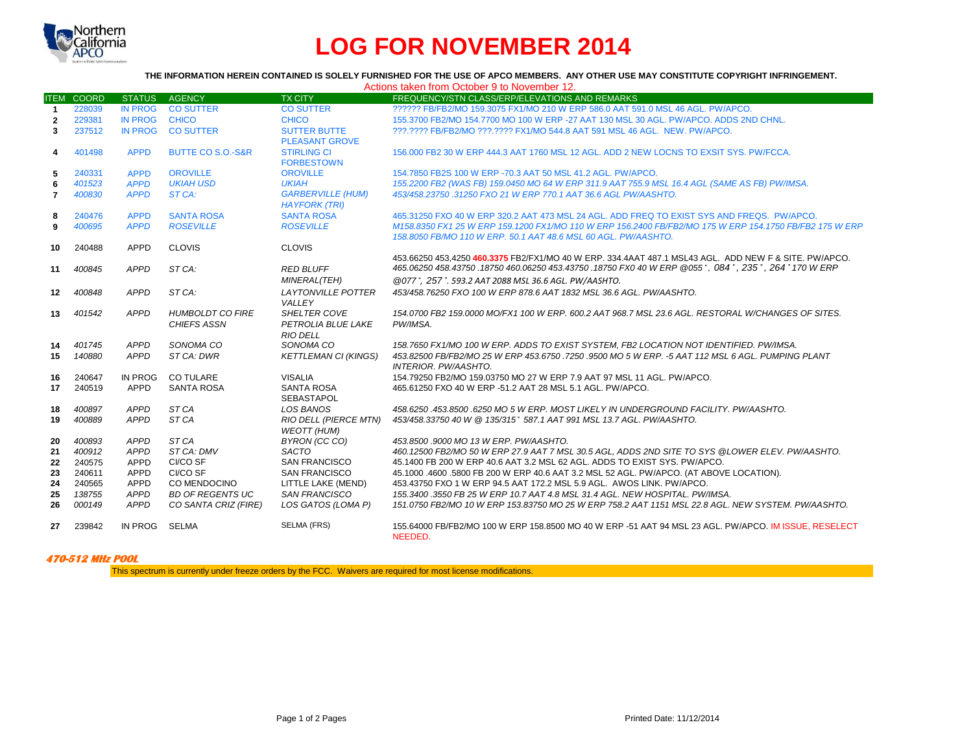

## **LOG FOR NOVEMBER 2014**

## **THE INFORMATION HEREIN CONTAINED IS SOLELY FURNISHED FOR THE USE OF APCO MEMBERS. ANY OTHER USE MAY CONSTITUTE COPYRIGHT INFRINGEMENT.** Actions taken from October 9 to November 12.

|                |                   |                |                              |                                                  | Actions taken from October 9 to November 12.                                                            |
|----------------|-------------------|----------------|------------------------------|--------------------------------------------------|---------------------------------------------------------------------------------------------------------|
|                | <b>ITEM COORD</b> | <b>STATUS</b>  | <b>AGENCY</b>                | <b>TX CITY</b>                                   | FREQUENCY/STN CLASS/ERP/ELEVATIONS AND REMARKS                                                          |
| $\overline{1}$ | 228039            | <b>IN PROG</b> | <b>CO SUTTER</b>             | <b>CO SUTTER</b>                                 | ?????? FB/FB2/MO 159.3075 FX1/MO 210 W ERP 586.0 AAT 591.0 MSL 46 AGL, PW/APCO,                         |
| $\mathbf{2}$   | 229381            | <b>IN PROG</b> | <b>CHICO</b>                 | <b>CHICO</b>                                     | 155,3700 FB2/MO 154,7700 MO 100 W ERP -27 AAT 130 MSL 30 AGL, PW/APCO, ADDS 2ND CHNL.                   |
| 3              | 237512            | <b>IN PROG</b> | <b>CO SUTTER</b>             | <b>SUTTER BUTTE</b>                              | ???.???? FB/FB2/MO ???.???? FX1/MO 544.8 AAT 591 MSL 46 AGL. NEW. PW/APCO.                              |
|                |                   |                |                              | <b>PLEASANT GROVE</b>                            |                                                                                                         |
| 4              | 401498            | <b>APPD</b>    | <b>BUTTE CO S.O.-S&amp;R</b> | <b>STIRLING CI</b>                               | 156,000 FB2 30 W ERP 444.3 AAT 1760 MSL 12 AGL. ADD 2 NEW LOCNS TO EXSIT SYS. PW/FCCA.                  |
|                |                   |                |                              | <b>FORBESTOWN</b>                                |                                                                                                         |
| 5              | 240331            | <b>APPD</b>    | <b>OROVILLE</b>              | <b>OROVILLE</b>                                  | 154.7850 FB2S 100 W ERP -70.3 AAT 50 MSL 41.2 AGL, PW/APCO.                                             |
| 6              | 401523            | <b>APPD</b>    | <b>UKIAH USD</b>             | <b>UKIAH</b>                                     | 155.2200 FB2 (WAS FB) 159.0450 MO 64 W ERP 311.9 AAT 755.9 MSL 16.4 AGL (SAME AS FB) PW/IMSA.           |
| $\overline{7}$ | 400830            | <b>APPD</b>    | ST CA:                       | <b>GARBERVILLE (HUM)</b><br><b>HAYFORK (TRI)</b> | 453/458.23750 .31250 FXO 21 W ERP 770.1 AAT 36.6 AGL PW/AASHTO.                                         |
| 8              | 240476            | <b>APPD</b>    | <b>SANTA ROSA</b>            | <b>SANTA ROSA</b>                                | 465,31250 FXO 40 W ERP 320.2 AAT 473 MSL 24 AGL, ADD FREQ TO EXIST SYS AND FREQS. PW/APCO.              |
| 9              | 400695            | <b>APPD</b>    | <b>ROSEVILLE</b>             | <b>ROSEVILLE</b>                                 | M158.8350 FX1 25 W ERP 159.1200 FX1/MO 110 W ERP 156.2400 FB/FB2/MO 175 W ERP 154.1750 FB/FB2 175 W ERP |
|                |                   |                |                              |                                                  | 158.8050 FB/MO 110 W ERP. 50.1 AAT 48.6 MSL 60 AGL. PW/AASHTO.                                          |
| 10             | 240488            | <b>APPD</b>    | <b>CLOVIS</b>                | <b>CLOVIS</b>                                    |                                                                                                         |
|                |                   |                |                              |                                                  | 453.66250 453.4250 460.3375 FB2/FX1/MO 40 W ERP. 334.4AAT 487.1 MSL43 AGL. ADD NEW F & SITE. PW/APCO.   |
| 11             | 400845            | APPD           | ST CA:                       | <b>RED BLUFF</b>                                 | 465.06250 458.43750 .18750 460.06250 453.43750 .18750 FX0 40 W ERP @055°, 084°, 235°, 264° 170 W ERP    |
|                |                   |                |                              | MINERAL(TEH)                                     | @077°, 257°. 593.2 AAT 2088 MSL 36.6 AGL. PW/AASHTO.                                                    |
| 12             | 400848            | <b>APPD</b>    | ST CA:                       | <b>LAYTONVILLE POTTER</b>                        | 453/458.76250 FXO 100 W ERP 878.6 AAT 1832 MSL 36.6 AGL. PW/AASHTO.                                     |
|                |                   |                |                              | VALLEY                                           |                                                                                                         |
| 13             | 401542            | <b>APPD</b>    | <b>HUMBOLDT CO FIRE</b>      | <b>SHELTER COVE</b>                              | 154.0700 FB2 159.0000 MO/FX1 100 W ERP, 600.2 AAT 968.7 MSL 23.6 AGL, RESTORAL W/CHANGES OF SITES.      |
|                |                   |                | <b>CHIEFS ASSN</b>           | <b>PETROLIA BLUE LAKE</b>                        | PW/IMSA.                                                                                                |
|                |                   |                |                              | <b>RIO DELL</b>                                  |                                                                                                         |
| 14             | 401745            | <b>APPD</b>    | SONOMA CO                    | SONOMA CO                                        | 158.7650 FX1/MO 100 W ERP. ADDS TO EXIST SYSTEM. FB2 LOCATION NOT IDENTIFIED. PW/IMSA.                  |
| 15             | 140880            | <b>APPD</b>    | ST CA: DWR                   | <b>KETTLEMAN CI (KINGS)</b>                      | 453.82500 FB/FB2/MO 25 W ERP 453.6750 .7250 .9500 MO 5 W ERP. -5 AAT 112 MSL 6 AGL. PUMPING PLANT       |
|                |                   |                |                              |                                                  | <b>INTERIOR. PW/AASHTO.</b>                                                                             |
| 16             | 240647            | <b>IN PROG</b> | <b>CO TULARE</b>             | <b>VISALIA</b>                                   | 154.79250 FB2/MO 159.03750 MO 27 W ERP 7.9 AAT 97 MSL 11 AGL. PW/APCO.                                  |
| 17             | 240519            | APPD           | <b>SANTA ROSA</b>            | <b>SANTA ROSA</b>                                | 465.61250 FXO 40 W ERP -51.2 AAT 28 MSL 5.1 AGL, PW/APCO.                                               |
|                |                   |                |                              | <b>SEBASTAPOL</b>                                |                                                                                                         |
| 18             | 400897            | <b>APPD</b>    | ST <sub>CA</sub>             | <b>LOS BANOS</b>                                 | 458.6250.453.8500.6250 MO 5 W ERP. MOST LIKELY IN UNDERGROUND FACILITY. PW/AASHTO.                      |
| 19             | 400889            | <b>APPD</b>    | ST <sub>CA</sub>             | RIO DELL (PIERCE MTN)                            | 453/458.33750 40 W @ 135/315° 587.1 AAT 991 MSL 13.7 AGL. PW/AASHTO.                                    |
|                |                   |                |                              | <b>WEOTT (HUM)</b>                               |                                                                                                         |
| 20             | 400893            | <b>APPD</b>    | ST <sub>CA</sub>             | BYRON (CC CO)                                    | 453.8500 .9000 MO 13 W ERP. PW/AASHTO.                                                                  |
| 21             | 400912            | <b>APPD</b>    | ST CA: DMV                   | <b>SACTO</b>                                     | 460.12500 FB2/MO 50 W ERP 27.9 AAT 7 MSL 30.5 AGL, ADDS 2ND SITE TO SYS @LOWER ELEV. PW/AASHTO.         |
| 22             | 240575            | <b>APPD</b>    | CI/CO SF                     | <b>SAN FRANCISCO</b>                             | 45.1400 FB 200 W ERP 40.6 AAT 3.2 MSL 62 AGL. ADDS TO EXIST SYS. PW/APCO.                               |
| 23             | 240611            | <b>APPD</b>    | CI/CO SF                     | <b>SAN FRANCISCO</b>                             | 45.1000 .4600 .5800 FB 200 W ERP 40.6 AAT 3.2 MSL 52 AGL. PW/APCO. (AT ABOVE LOCATION).                 |
| 24             | 240565            | APPD           | CO MENDOCINO                 | LITTLE LAKE (MEND)                               | 453.43750 FXO 1 W ERP 94.5 AAT 172.2 MSL 5.9 AGL. AWOS LINK, PW/APCO.                                   |
| 25             | 138755            | <b>APPD</b>    | <b>BD OF REGENTS UC</b>      | <b>SAN FRANCISCO</b>                             | 155.3400 .3550 FB 25 W ERP 10.7 AAT 4.8 MSL 31.4 AGL. NEW HOSPITAL. PW/IMSA.                            |
| 26             | 000149            | <b>APPD</b>    | CO SANTA CRIZ (FIRE)         | LOS GATOS (LOMA P)                               | 151.0750 FB2/MO 10 W ERP 153.83750 MO 25 W ERP 758.2 AAT 1151 MSL 22.8 AGL. NEW SYSTEM. PW/AASHTO.      |
| 27             | 239842            | IN PROG        | <b>SELMA</b>                 | SELMA (FRS)                                      | 155.64000 FB/FB2/MO 100 W ERP 158.8500 MO 40 W ERP -51 AAT 94 MSL 23 AGL, PW/APCO, IM ISSUE, RESELECT   |
|                |                   |                |                              |                                                  | NEEDED.                                                                                                 |

## **470-512 MHz POOL**

This spectrum is currently under freeze orders by the FCC. Waivers are required for most license modifications.